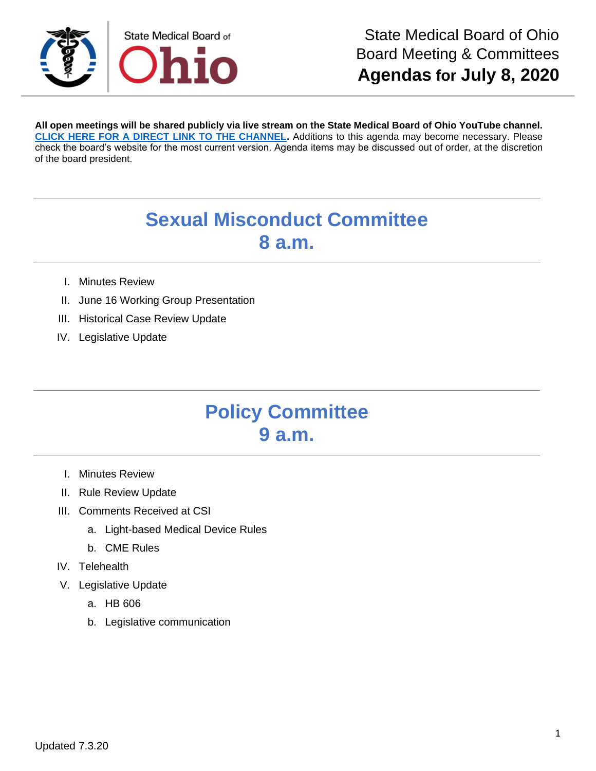

**All open meetings will be shared publicly via live stream on the State Medical Board of Ohio YouTube channel. [CLICK HERE FOR A DIRECT LINK TO THE CHANNEL.](https://www.youtube.com/channel/UCWBHBfwOyUtBZmBEZvtYPvA)** Additions to this agenda may become necessary. Please check the board's website for the most current version. Agenda items may be discussed out of order, at the discretion of the board president.

## **Sexual Misconduct Committee 8 a.m.**

- I. Minutes Review
- II. June 16 Working Group Presentation
- III. Historical Case Review Update
- IV. Legislative Update

## **Policy Committee 9 a.m.**

- I. Minutes Review
- II. Rule Review Update
- III. Comments Received at CSI
	- a. Light-based Medical Device Rules
	- b. CME Rules
- IV. Telehealth
- V. Legislative Update
	- a. HB 606
	- b. Legislative communication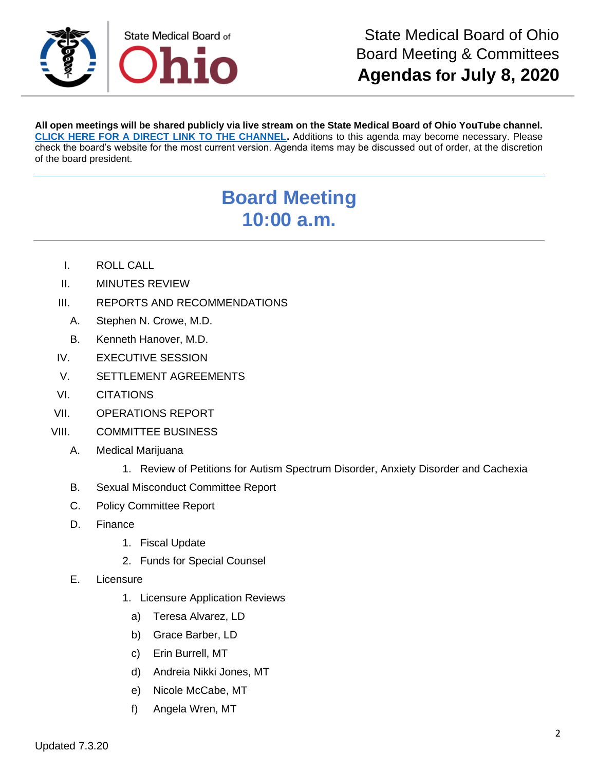

**All open meetings will be shared publicly via live stream on the State Medical Board of Ohio YouTube channel. [CLICK HERE FOR A DIRECT LINK TO THE CHANNEL.](https://www.youtube.com/channel/UCWBHBfwOyUtBZmBEZvtYPvA)** Additions to this agenda may become necessary. Please check the board's website for the most current version. Agenda items may be discussed out of order, at the discretion of the board president.

## **Board Meeting 10:00 a.m.**

- I. ROLL CALL
- II. MINUTES REVIEW
- III. REPORTS AND RECOMMENDATIONS
	- A. Stephen N. Crowe, M.D.
	- B. Kenneth Hanover, M.D.
- IV. EXECUTIVE SESSION
- V. SETTLEMENT AGREEMENTS
- VI. CITATIONS
- VII. OPERATIONS REPORT
- VIII. COMMITTEE BUSINESS
	- A. Medical Marijuana
		- 1. Review of Petitions for Autism Spectrum Disorder, Anxiety Disorder and Cachexia
	- B. Sexual Misconduct Committee Report
	- C. Policy Committee Report
	- D. Finance
		- 1. Fiscal Update
		- 2. Funds for Special Counsel
	- E. Licensure
		- 1. Licensure Application Reviews
			- a) Teresa Alvarez, LD
			- b) Grace Barber, LD
			- c) Erin Burrell, MT
			- d) Andreia Nikki Jones, MT
			- e) Nicole McCabe, MT
			- f) Angela Wren, MT